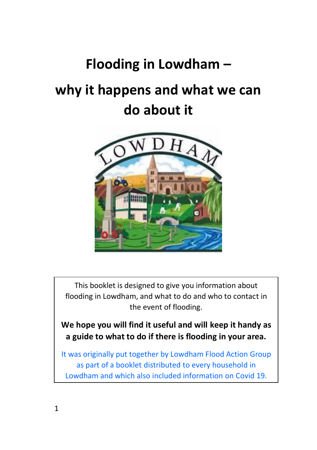# **Flooding in Lowdham –**

# **why it happens and what we can do about it**



This booklet is designed to give you information about flooding in Lowdham, and what to do and who to contact in the event of flooding.

**We hope you will find it useful and will keep it handy as a guide to what to do if there is flooding in your area.**

It was originally put together by Lowdham Flood Action Group as part of a booklet distributed to every household in Lowdham and which also included information on Covid 19.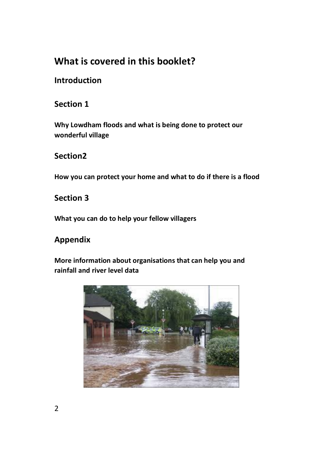### **What is covered in this booklet?**

### **Introduction**

### **Section 1**

**Why Lowdham floods and what is being done to protect our wonderful village**

### **Section2**

**How you can protect your home and what to do if there is a flood**

**Section 3** 

**What you can do to help your fellow villagers**

### **Appendix**

**More information about organisations that can help you and rainfall and river level data**

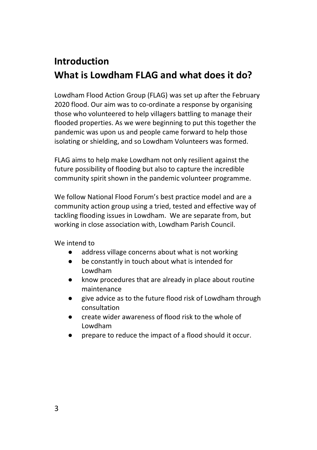### **Introduction What is Lowdham FLAG and what does it do?**

Lowdham Flood Action Group (FLAG) was set up after the February 2020 flood. Our aim was to co-ordinate a response by organising those who volunteered to help villagers battling to manage their flooded properties. As we were beginning to put this together the pandemic was upon us and people came forward to help those isolating or shielding, and so Lowdham Volunteers was formed.

FLAG aims to help make Lowdham not only resilient against the future possibility of flooding but also to capture the incredible community spirit shown in the pandemic volunteer programme.

We follow National Flood Forum's best practice model and are a community action group using a tried, tested and effective way of tackling flooding issues in Lowdham. We are separate from, but working in close association with, Lowdham Parish Council.

We intend to

- address village concerns about what is not working
- be constantly in touch about what is intended for Lowdham
- know procedures that are already in place about routine maintenance
- give advice as to the future flood risk of Lowdham through consultation
- create wider awareness of flood risk to the whole of Lowdham
- prepare to reduce the impact of a flood should it occur.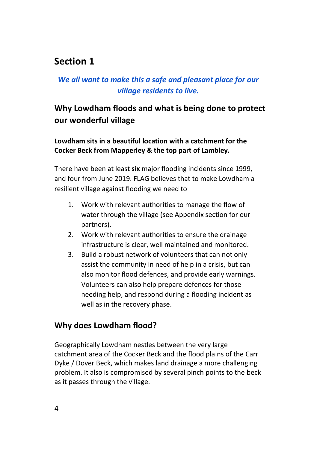### **Section 1**

### *We all want to make this a safe and pleasant place for our village residents to live.*

### **Why Lowdham floods and what is being done to protect our wonderful village**

**Lowdham sits in a beautiful location with a catchment for the Cocker Beck from Mapperley & the top part of Lambley.** 

There have been at least **six** major flooding incidents since 1999, and four from June 2019. FLAG believes that to make Lowdham a resilient village against flooding we need to

- 1. Work with relevant authorities to manage the flow of water through the village (see Appendix section for our partners).
- 2. Work with relevant authorities to ensure the drainage infrastructure is clear, well maintained and monitored.
- 3. Build a robust network of volunteers that can not only assist the community in need of help in a crisis, but can also monitor flood defences, and provide early warnings. Volunteers can also help prepare defences for those needing help, and respond during a flooding incident as well as in the recovery phase.

#### **Why does Lowdham flood?**

Geographically Lowdham nestles between the very large catchment area of the Cocker Beck and the flood plains of the Carr Dyke / Dover Beck, which makes land drainage a more challenging problem. It also is compromised by several pinch points to the beck as it passes through the village.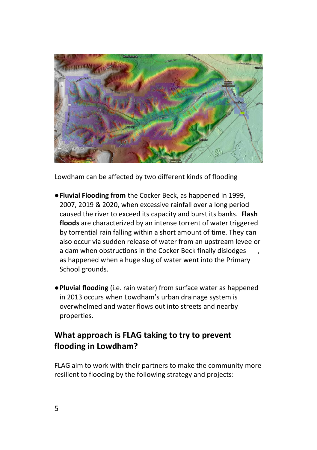

Lowdham can be affected by two different kinds of flooding

- ●**Fluvial Flooding from** the Cocker Beck, as happened in 1999, 2007, 2019 & 2020, when excessive rainfall over a long period caused the river to exceed its capacity and burst its banks. **Flash floods** are characterized by an intense torrent of water triggered by torrential rain falling within a short amount of time. They can also occur via sudden release of water from an upstream levee or a dam when obstructions in the Cocker Beck finally dislodges as happened when a huge slug of water went into the Primary School grounds.
- ●**Pluvial flooding** (i.e. rain water) from surface water as happened in 2013 occurs when Lowdham's urban drainage system is overwhelmed and water flows out into streets and nearby properties.

### **What approach is FLAG taking to try to prevent flooding in Lowdham?**

FLAG aim to work with their partners to make the community more resilient to flooding by the following strategy and projects: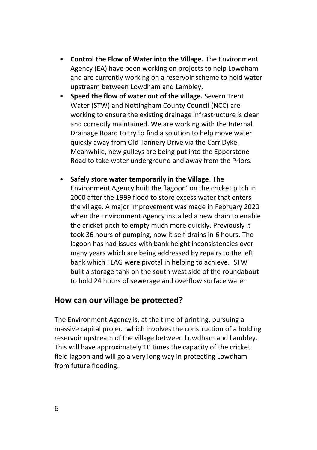- **Control the Flow of Water into the Village.** The Environment Agency (EA) have been working on projects to help Lowdham and are currently working on a reservoir scheme to hold water upstream between Lowdham and Lambley.
- **Speed the flow of water out of the village.** Severn Trent Water (STW) and Nottingham County Council (NCC) are working to ensure the existing drainage infrastructure is clear and correctly maintained. We are working with the Internal Drainage Board to try to find a solution to help move water quickly away from Old Tannery Drive via the Carr Dyke. Meanwhile, new gulleys are being put into the Epperstone Road to take water underground and away from the Priors.
- **Safely store water temporarily in the Village**. The Environment Agency built the 'lagoon' on the cricket pitch in 2000 after the 1999 flood to store excess water that enters the village. A major improvement was made in February 2020 when the Environment Agency installed a new drain to enable the cricket pitch to empty much more quickly. Previously it took 36 hours of pumping, now it self-drains in 6 hours. The lagoon has had issues with bank height inconsistencies over many years which are being addressed by repairs to the left bank which FLAG were pivotal in helping to achieve. STW built a storage tank on the south west side of the roundabout to hold 24 hours of sewerage and overflow surface water

#### **How can our village be protected?**

The Environment Agency is, at the time of printing, pursuing a massive capital project which involves the construction of a holding reservoir upstream of the village between Lowdham and Lambley. This will have approximately 10 times the capacity of the cricket field lagoon and will go a very long way in protecting Lowdham from future flooding.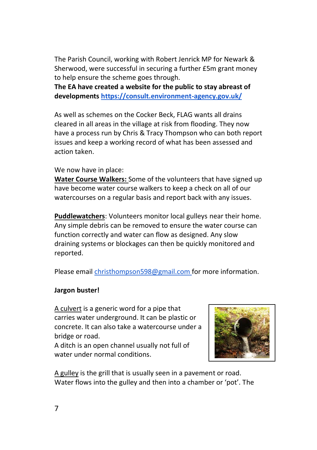The Parish Council, working with Robert Jenrick MP for Newark & Sherwood, were successful in securing a further £5m grant money to help ensure the scheme goes through.

**The EA have created a website for the public to stay abreast of development[s https://consult.environment-agency.gov.uk/](https://consult.environment-agency.gov.uk/)**

As well as schemes on the Cocker Beck, FLAG wants all drains cleared in all areas in the village at risk from flooding. They now have a process run by Chris & Tracy Thompson who can both report issues and keep a working record of what has been assessed and action taken.

#### We now have in place:

**Water Course Walkers:** Some of the volunteers that have signed up have become water course walkers to keep a check on all of our watercourses on a regular basis and report back with any issues.

**Puddlewatchers**: Volunteers monitor local gulleys near their home. Any simple debris can be removed to ensure the water course can function correctly and water can flow as designed. Any slow draining systems or blockages can then be quickly monitored and reported.

Please email [christhompson598@gmail.com](mailto:christhompson589@gmil.com) for more information.

#### **Jargon buster!**

A culvert is a generic word for a pipe that carries water underground. It can be plastic or concrete. It can also take a watercourse under a bridge or road.

A ditch is an open channel usually not full of water under normal conditions.



A gulley is the grill that is usually seen in a pavement or road. Water flows into the gulley and then into a chamber or 'pot'. The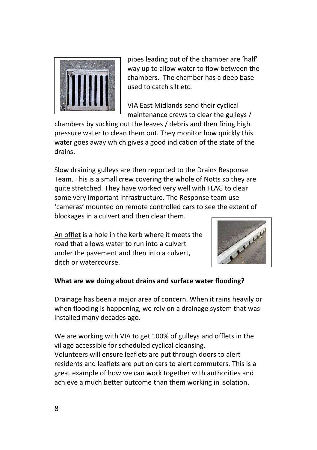

pipes leading out of the chamber are 'half' way up to allow water to flow between the chambers. The chamber has a deep base used to catch silt etc.

VIA East Midlands send their cyclical maintenance crews to clear the gulleys /

chambers by sucking out the leaves / debris and then firing high pressure water to clean them out. They monitor how quickly this water goes away which gives a good indication of the state of the drains.

Slow draining gulleys are then reported to the Drains Response Team. This is a small crew covering the whole of Notts so they are quite stretched. They have worked very well with FLAG to clear some very important infrastructure. The Response team use 'cameras' mounted on remote controlled cars to see the extent of blockages in a culvert and then clear them.

An offlet is a hole in the kerb where it meets the road that allows water to run into a culvert under the pavement and then into a culvert, ditch or watercourse.



#### **What are we doing about drains and surface water flooding?**

Drainage has been a major area of concern. When it rains heavily or when flooding is happening, we rely on a drainage system that was installed many decades ago.

We are working with VIA to get 100% of gulleys and offlets in the village accessible for scheduled cyclical cleansing. Volunteers will ensure leaflets are put through doors to alert residents and leaflets are put on cars to alert commuters. This is a great example of how we can work together with authorities and achieve a much better outcome than them working in isolation.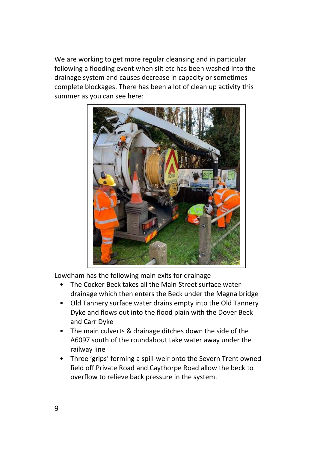We are working to get more regular cleansing and in particular following a flooding event when silt etc has been washed into the drainage system and causes decrease in capacity or sometimes complete blockages. There has been a lot of clean up activity this summer as you can see here:



Lowdham has the following main exits for drainage

- The Cocker Beck takes all the Main Street surface water drainage which then enters the Beck under the Magna bridge
- Old Tannery surface water drains empty into the Old Tannery Dyke and flows out into the flood plain with the Dover Beck and Carr Dyke
- The main culverts & drainage ditches down the side of the A6097 south of the roundabout take water away under the railway line
- Three 'grips' forming a spill-weir onto the Severn Trent owned field off Private Road and Caythorpe Road allow the beck to overflow to relieve back pressure in the system.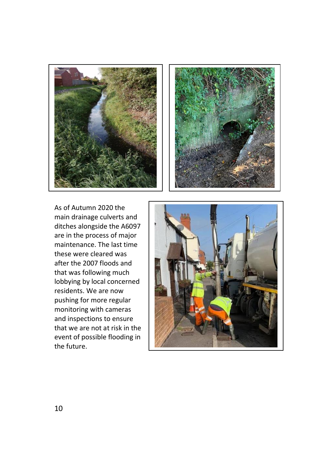



As of Autumn 2020 the main drainage culverts and ditches alongside the A6097 are in the process of major maintenance. The last time these were cleared was after the 2007 floods and that was following much lobbying by local concerned residents. We are now pushing for more regular monitoring with cameras and inspections to ensure that we are not at risk in the event of possible flooding in the future.

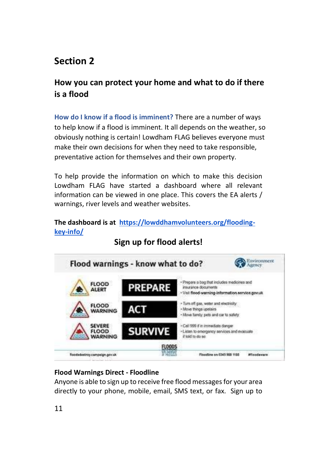### **Section 2**

### **How you can protect your home and what to do if there is a flood**

**How do I know if a flood is imminent?** There are a number of ways to help know if a flood is imminent. It all depends on the weather, so obviously nothing is certain! Lowdham FLAG believes everyone must make their own decisions for when they need to take responsible, preventative action for themselves and their own property.

To help provide the information on which to make this decision Lowdham FLAG have started a dashboard where all relevant information can be viewed in one place. This covers the EA alerts / warnings, river levels and weather websites.

#### **The dashboard is at [https://lowddhamvolunteers.org/flooding](https://lowdhamvolunteers.org/flooding-key-info/)[key-info/](https://lowdhamvolunteers.org/flooding-key-info/)**



### **Sign up for flood alerts!**

#### **Flood Warnings Direct - Floodline**

Anyone is able to sign up to receive free flood messages for your area directly to your phone, mobile, email, SMS text, or fax. Sign up to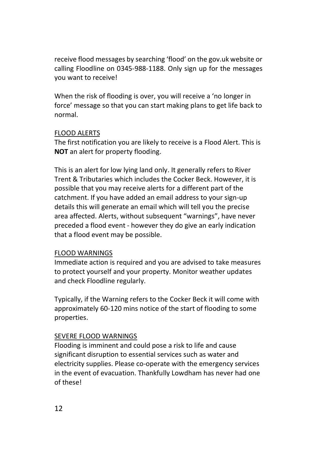receive flood messages by searching 'flood' on the gov.uk website or calling Floodline on 0345-988-1188. Only sign up for the messages you want to receive!

When the risk of flooding is over, you will receive a 'no longer in force' message so that you can start making plans to get life back to normal.

#### FLOOD ALERTS

The first notification you are likely to receive is a Flood Alert. This is **NOT** an alert for property flooding.

This is an alert for low lying land only. It generally refers to River Trent & Tributaries which includes the Cocker Beck. However, it is possible that you may receive alerts for a different part of the catchment. If you have added an email address to your sign-up details this will generate an email which will tell you the precise area affected. Alerts, without subsequent "warnings", have never preceded a flood event - however they do give an early indication that a flood event may be possible.

#### FLOOD WARNINGS

Immediate action is required and you are advised to take measures to protect yourself and your property. Monitor weather updates and check Floodline regularly.

Typically, if the Warning refers to the Cocker Beck it will come with approximately 60-120 mins notice of the start of flooding to some properties.

#### SEVERE FLOOD WARNINGS

Flooding is imminent and could pose a risk to life and cause significant disruption to essential services such as water and electricity supplies. Please co-operate with the emergency services in the event of evacuation. Thankfully Lowdham has never had one of these!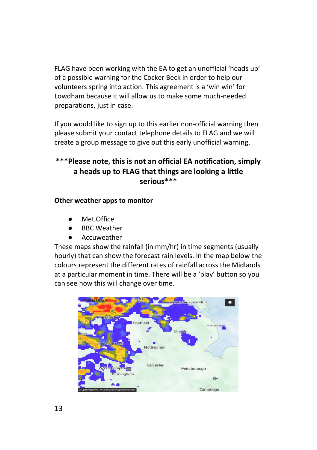FLAG have been working with the EA to get an unofficial 'heads up' of a possible warning for the Cocker Beck in order to help our volunteers spring into action. This agreement is a 'win win' for Lowdham because it will allow us to make some much-needed preparations, just in case.

If you would like to sign up to this earlier non-official warning then please submit your contact telephone details to FLAG and we will create a group message to give out this early unofficial warning.

### **\*\*\*Please note, this is not an official EA notification, simply a heads up to FLAG that things are looking a little serious\*\*\***

#### **Other weather apps to monitor**

- Met Office
- **BBC Weather**
- Accuweather

These maps show the rainfall (in mm/hr) in time segments (usually hourly) that can show the forecast rain levels. In the map below the colours represent the different rates of rainfall across the Midlands at a particular moment in time. There will be a 'play' button so you can see how this will change over time.

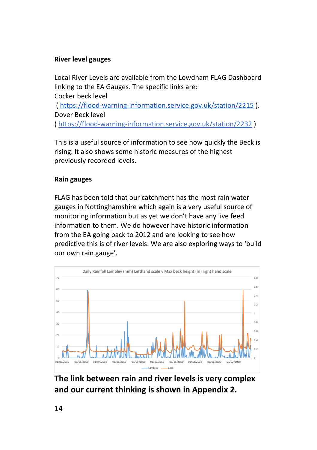#### **River level gauges**

Local River Levels are available from the Lowdham FLAG Dashboard linking to the EA Gauges. The specific links are: Cocker beck level [\( https://flood-warning-information.service.gov.uk/station/2215](https://flood-warning-information.service.gov.uk/station/2215) ). Dover Beck level [\( https://flood-warning-information.service.gov.uk/station/2232](https://flood-warning-information.service.gov.uk/station/2232) )

This is a useful source of information to see how quickly the Beck is rising. It also shows some historic measures of the highest previously recorded levels.

#### **Rain gauges**

FLAG has been told that our catchment has the most rain water gauges in Nottinghamshire which again is a very useful source of monitoring information but as yet we don't have any live feed information to them. We do however have historic information from the EA going back to 2012 and are looking to see how predictive this is of river levels. We are also exploring ways to 'build our own rain gauge'.



**The link between rain and river levels is very complex and our current thinking is shown in Appendix 2.**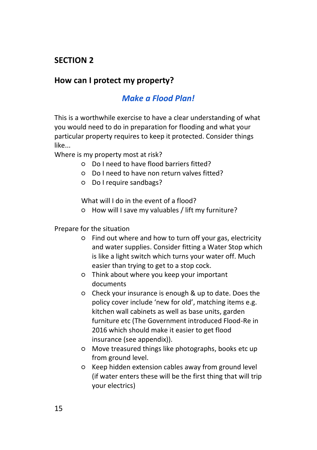### **SECTION 2**

### **How can I protect my property?**

### *Make a Flood Plan!*

This is a worthwhile exercise to have a clear understanding of what you would need to do in preparation for flooding and what your particular property requires to keep it protected. Consider things like...

Where is my property most at risk?

- Do I need to have flood barriers fitted?
- Do I need to have non return valves fitted?
- Do I require sandbags?

What will I do in the event of a flood?

○ How will I save my valuables / lift my furniture?

#### Prepare for the situation

- Find out where and how to turn off your gas, electricity and water supplies. Consider fitting a Water Stop which is like a light switch which turns your water off. Much easier than trying to get to a stop cock.
- Think about where you keep your important documents
- Check your insurance is enough & up to date. Does the policy cover include 'new for old', matching items e.g. kitchen wall cabinets as well as base units, garden furniture etc (The Government introduced Flood-Re in 2016 which should make it easier to get flood insurance (see appendix)).
- Move treasured things like photographs, books etc up from ground level.
- Keep hidden extension cables away from ground level (if water enters these will be the first thing that will trip your electrics)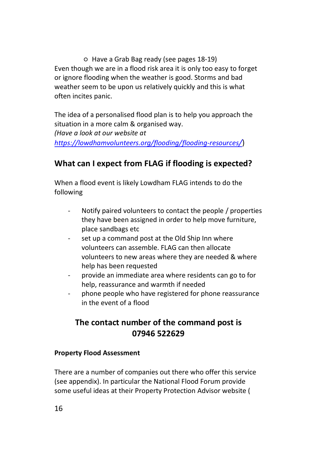○ Have a Grab Bag ready (see pages 18-19) Even though we are in a flood risk area it is only too easy to forget or ignore flooding when the weather is good. Storms and bad weather seem to be upon us relatively quickly and this is what often incites panic.

The idea of a personalised flood plan is to help you approach the situation in a more calm & organised way. *(Have a look at our website at [https://lowdhamvolunteers.org/flooding/flooding-resources](https://lowdhamvolunteers.org/flooding/flooding-resources/)[/](https://lowdhamvolunteers.org/flooding/flooding-resources/)*)

### **What can I expect from FLAG if flooding is expected?**

When a flood event is likely Lowdham FLAG intends to do the following

- Notify paired volunteers to contact the people / properties they have been assigned in order to help move furniture, place sandbags etc
- set up a command post at the Old Ship Inn where volunteers can assemble. FLAG can then allocate volunteers to new areas where they are needed & where help has been requested
- provide an immediate area where residents can go to for help, reassurance and warmth if needed
- phone people who have registered for phone reassurance in the event of a flood

### **The contact number of the command post is 07946 522629**

#### **Property Flood Assessment**

There are a number of companies out there who offer this service (see appendix). In particular the National Flood Forum provide some useful ideas at their Property Protection Advisor website (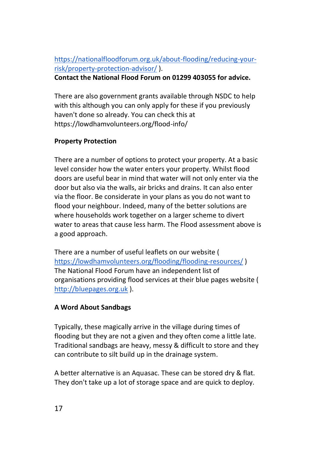### [https://nationalfloodforum.org.uk/about-flooding/reducing-your](https://nationalfloodforum.org.uk/about-flooding/reducing-your-risk/property-protection-advisor/)[risk/property-protection-advisor/](https://nationalfloodforum.org.uk/about-flooding/reducing-your-risk/property-protection-advisor/) ).

**Contact the National Flood Forum on 01299 403055 for advice.**

There are also government grants available through NSDC to help with this although you can only apply for these if you previously haven't done so already. You can check this at https://lowdhamvolunteers.org/flood-info/

#### **Property Protection**

There are a number of options to protect your property. At a basic level consider how the water enters your property. Whilst flood doors are useful bear in mind that water will not only enter via the door but also via the walls, air bricks and drains. It can also enter via the floor. Be considerate in your plans as you do not want to flood your neighbour. Indeed, many of the better solutions are where households work together on a larger scheme to divert water to areas that cause less harm. The Flood assessment above is a good approach.

There are a number of useful leaflets on our website ( <https://lowdhamvolunteers.org/flooding/flooding-resources/> ) The National Flood Forum have an independent list of organisations providing flood services at their blue pages website ( [http://bluepages.org.uk](http://bluepages.org.uk/) ).

#### **A Word About Sandbags**

Typically, these magically arrive in the village during times of flooding but they are not a given and they often come a little late. Traditional sandbags are heavy, messy & difficult to store and they can contribute to silt build up in the drainage system.

A better alternative is an Aquasac. These can be stored dry & flat. They don't take up a lot of storage space and are quick to deploy.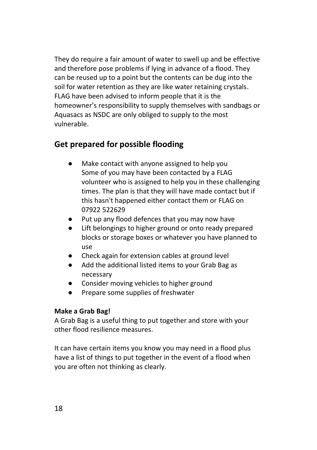They do require a fair amount of water to swell up and be effective and therefore pose problems if lying in advance of a flood. They can be reused up to a point but the contents can be dug into the soil for water retention as they are like water retaining crystals. FLAG have been advised to inform people that it is the homeowner's responsibility to supply themselves with sandbags or Aquasacs as NSDC are only obliged to supply to the most vulnerable.

### **Get prepared for possible flooding**

- Make contact with anyone assigned to help you Some of you may have been contacted by a FLAG volunteer who is assigned to help you in these challenging times. The plan is that they will have made contact but if this hasn't happened either contact them or FLAG on 07922 522629
- Put up any flood defences that you may now have
- Lift belongings to higher ground or onto ready prepared blocks or storage boxes or whatever you have planned to use
- Check again for extension cables at ground level
- Add the additional listed items to your Grab Bag as necessary
- Consider moving vehicles to higher ground
- Prepare some supplies of freshwater

#### **Make a Grab Bag!**

A Grab Bag is a useful thing to put together and store with your other flood resilience measures.

It can have certain items you know you may need in a flood plus have a list of things to put together in the event of a flood when you are often not thinking as clearly.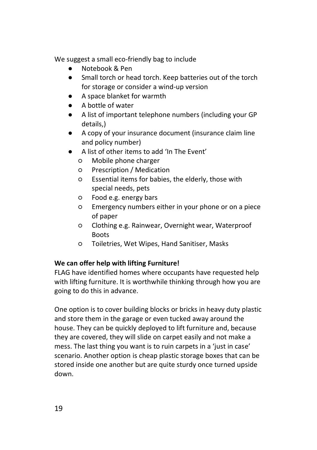We suggest a small eco-friendly bag to include

- Notebook & Pen
- Small torch or head torch. Keep batteries out of the torch for storage or consider a wind-up version
- A space blanket for warmth
- A bottle of water
- A list of important telephone numbers (including your GP details,)
- A copy of your insurance document (insurance claim line and policy number)
- A list of other items to add 'In The Event'
	- Mobile phone charger
	- Prescription / Medication
	- Essential items for babies, the elderly, those with special needs, pets
	- Food e.g. energy bars
	- Emergency numbers either in your phone or on a piece of paper
	- Clothing e.g. Rainwear, Overnight wear, Waterproof **Boots**
	- Toiletries, Wet Wipes, Hand Sanitiser, Masks

#### **We can offer help with lifting Furniture!**

FLAG have identified homes where occupants have requested help with lifting furniture. It is worthwhile thinking through how you are going to do this in advance.

One option is to cover building blocks or bricks in heavy duty plastic and store them in the garage or even tucked away around the house. They can be quickly deployed to lift furniture and, because they are covered, they will slide on carpet easily and not make a mess. The last thing you want is to ruin carpets in a 'just in case' scenario. Another option is cheap plastic storage boxes that can be stored inside one another but are quite sturdy once turned upside down.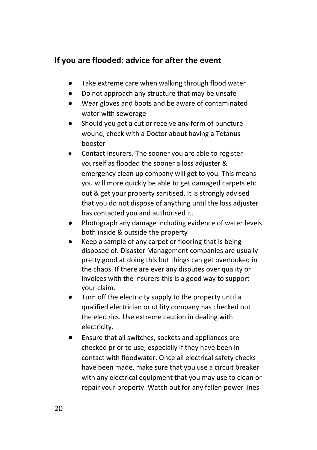### **If you are flooded: advice for after the event**

- Take extreme care when walking through flood water
- Do not approach any structure that may be unsafe
- Wear gloves and boots and be aware of contaminated water with sewerage
- Should you get a cut or receive any form of puncture wound, check with a Doctor about having a Tetanus booster
- Contact Insurers. The sooner you are able to register yourself as flooded the sooner a loss adjuster & emergency clean up company will get to you. This means you will more quickly be able to get damaged carpets etc out & get your property sanitised. It is strongly advised that you do not dispose of anything until the loss adjuster has contacted you and authorised it.
- Photograph any damage including evidence of water levels both inside & outside the property
- Keep a sample of any carpet or flooring that is being disposed of. Disaster Management companies are usually pretty good at doing this but things can get overlooked in the chaos. If there are ever any disputes over quality or invoices with the insurers this is a good way to support your claim.
- Turn off the electricity supply to the property until a qualified electrician or utility company has checked out the electrics. Use extreme caution in dealing with electricity.
- Ensure that all switches, sockets and appliances are checked prior to use, especially if they have been in contact with floodwater. Once all electrical safety checks have been made, make sure that you use a circuit breaker with any electrical equipment that you may use to clean or repair your property. Watch out for any fallen power lines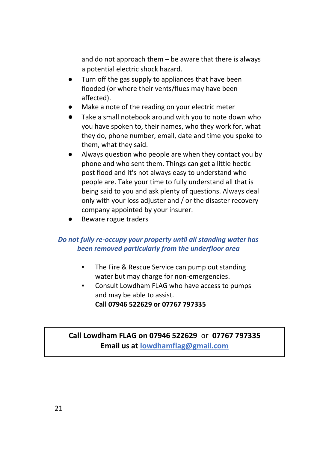and do not approach them – be aware that there is always a potential electric shock hazard.

- Turn off the gas supply to appliances that have been flooded (or where their vents/flues may have been affected).
- Make a note of the reading on your electric meter
- Take a small notebook around with you to note down who you have spoken to, their names, who they work for, what they do, phone number, email, date and time you spoke to them, what they said.
- Always question who people are when they contact you by phone and who sent them. Things can get a little hectic post flood and it's not always easy to understand who people are. Take your time to fully understand all that is being said to you and ask plenty of questions. Always deal only with your loss adjuster and / or the disaster recovery company appointed by your insurer.
- Beware rogue traders

#### *Do not fully re-occupy your property until all standing water has been removed particularly from the underfloor area*

- The Fire & Rescue Service can pump out standing water but may charge for non-emergencies.
- Consult Lowdham FLAG who have access to pumps and may be able to assist. **Call 07946 522629 or 07767 797335**

### **Call Lowdham FLAG on 07946 522629** or **07767 797335 Email us at lowdhamflag@gmail.com**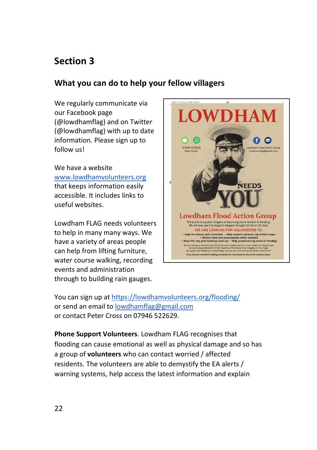### **Section 3**

### **What you can do to help your fellow villagers**

We regularly communicate via our Facebook page (@lowdhamflag) and on Twitter (@lowdhamflag) with up to date information. Please sign up to follow us!

We have a website [www.lowdhamvolunteers.org](http://www.lowdhamvolunteers.org/) that keeps information easily accessible. It includes links to useful websites.

Lowdham FLAG needs volunteers to help in many many ways. We have a variety of areas people can help from lifting furniture, water course walking, recording events and administration through to building rain gauges.



You can sign up at<https://lowdhamvolunteers.org/flooding/> or send an email t[o lowdhamflag@gmail.com](mailto:lowdhamflag@gmail.com) or contact Peter Cross on 07946 522629.

**Phone Support Volunteers**. Lowdham FLAG recognises that flooding can cause emotional as well as physical damage and so has a group of **volunteers** who can contact worried / affected residents. The volunteers are able to demystify the EA alerts / warning systems, help access the latest information and explain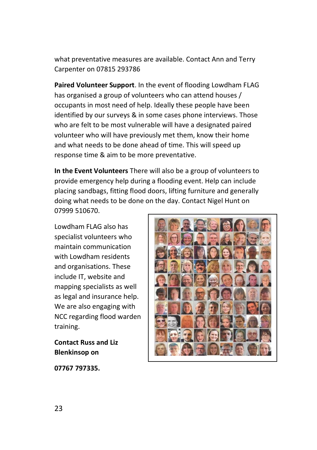what preventative measures are available. Contact Ann and Terry Carpenter on 07815 293786

**Paired Volunteer Support**. In the event of flooding Lowdham FLAG has organised a group of volunteers who can attend houses / occupants in most need of help. Ideally these people have been identified by our surveys & in some cases phone interviews. Those who are felt to be most vulnerable will have a designated paired volunteer who will have previously met them, know their home and what needs to be done ahead of time. This will speed up response time & aim to be more preventative.

**In the Event Volunteers** There will also be a group of volunteers to provide emergency help during a flooding event. Help can include placing sandbags, fitting flood doors, lifting furniture and generally doing what needs to be done on the day. Contact Nigel Hunt on 07999 510670.

Lowdham FLAG also has specialist volunteers who maintain communication with Lowdham residents and organisations. These include IT, website and mapping specialists as well as legal and insurance help. We are also engaging with NCC regarding flood warden training.

**Contact Russ and Liz Blenkinsop on** 

**07767 797335.**

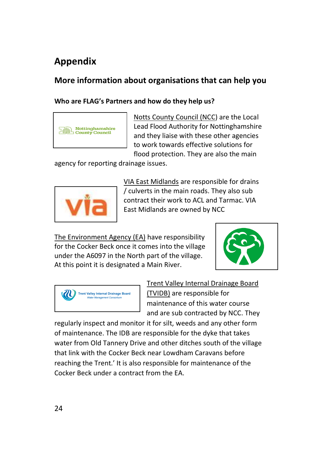# **Appendix**

### **More information about organisations that can help you**

#### **Who are FLAG's Partners and how do they help us?**



Notts County Council (NCC) are the Local Lead Flood Authority for Nottinghamshire and they liaise with these other agencies to work towards effective solutions for flood protection. They are also the main

agency for reporting drainage issues.



VIA East Midlands are responsible for drains / culverts in the main roads. They also sub contract their work to ACL and Tarmac. VIA East Midlands are owned by NCC

The Environment Agency (EA) have responsibility for the Cocker Beck once it comes into the village under the A6097 in the North part of the village. At this point it is designated a Main River.





Trent Valley Internal Drainage Board (TVIDB) are responsible for maintenance of this water course and are sub contracted by NCC. They

regularly inspect and monitor it for silt, weeds and any other form of maintenance. The IDB are responsible for the dyke that takes water from Old Tannery Drive and other ditches south of the village that link with the Cocker Beck near Lowdham Caravans before reaching the Trent.' It is also responsible for maintenance of the Cocker Beck under a contract from the EA.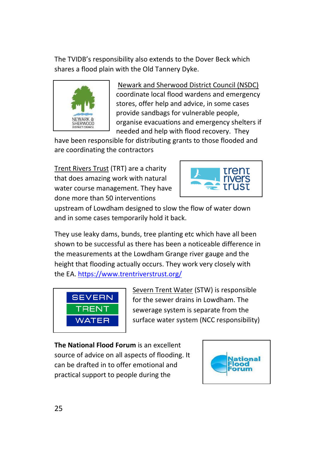The TVIDB's responsibility also extends to the Dover Beck which shares a flood plain with the Old Tannery Dyke.



Newark and Sherwood District Council (NSDC) coordinate local flood wardens and emergency stores, offer help and advice, in some cases provide sandbags for vulnerable people, organise evacuations and emergency shelters if needed and help with flood recovery. They

have been responsible for distributing grants to those flooded and are coordinating the contractors

Trent Rivers Trust (TRT) are a charity that does amazing work with natural water course management. They have done more than 50 interventions



upstream of Lowdham designed to slow the flow of water down and in some cases temporarily hold it back.

They use leaky dams, bunds, tree planting etc which have all been shown to be successful as there has been a noticeable difference in the measurements at the Lowdham Grange river gauge and the height that flooding actually occurs. They work very closely with the EA[. https://www.trentriverstrust.org/](https://www.trentriverstrust.org/)



Severn Trent Water (STW) is responsible for the sewer drains in Lowdham. The sewerage system is separate from the surface water system (NCC responsibility)

**The National Flood Forum** is an excellent source of advice on all aspects of flooding. It can be drafted in to offer emotional and practical support to people during the

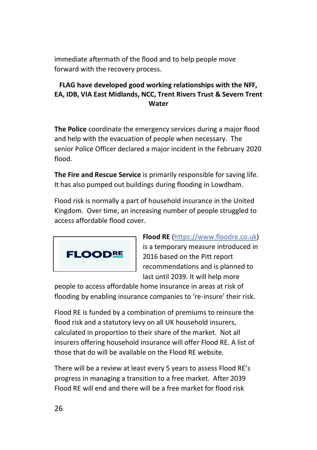immediate aftermath of the flood and to help people move forward with the recovery process.

### **FLAG have developed good working relationships with the NFF, EA, IDB, VIA East Midlands, NCC, Trent Rivers Trust & Severn Trent Water**

**The Police** coordinate the emergency services during a major flood and help with the evacuation of people when necessary. The senior Police Officer declared a major incident in the February 2020 flood.

**The Fire and Rescue Service** is primarily responsible for saving life. It has also pumped out buildings during flooding in Lowdham.

Flood risk is normally a part of household insurance in the United Kingdom. Over time, an increasing number of people struggled to access affordable flood cover.



**Flood RE** (https://www.floodre.co.uk) is a temporary measure introduced in 2016 based on the Pitt report recommendations and is planned to last until 2039. It will help more

people to access affordable home insurance in areas at risk of flooding by enabling insurance companies to 're-insure' their risk.

Flood RE is funded by a combination of premiums to reinsure the flood risk and a statutory levy on all UK household insurers, calculated in proportion to their share of the market. Not all insurers offering household insurance will offer Flood RE. A list of those that do will be available on the Flood RE website.

There will be a review at least every 5 years to assess Flood RE's progress in managing a transition to a free market. After 2039 Flood RE will end and there will be a free market for flood risk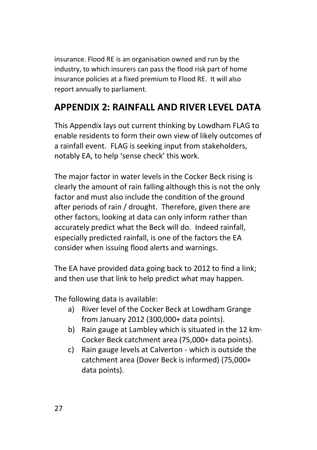insurance. Flood RE is an organisation owned and run by the industry, to which insurers can pass the flood risk part of home insurance policies at a fixed premium to Flood RE. It will also report annually to parliament.

### **APPENDIX 2: RAINFALL AND RIVER LEVEL DATA**

This Appendix lays out current thinking by Lowdham FLAG to enable residents to form their own view of likely outcomes of a rainfall event. FLAG is seeking input from stakeholders, notably EA, to help 'sense check' this work.

The major factor in water levels in the Cocker Beck rising is clearly the amount of rain falling although this is not the only factor and must also include the condition of the ground after periods of rain / drought. Therefore, given there are other factors, looking at data can only inform rather than accurately predict what the Beck will do. Indeed rainfall, especially predicted rainfall, is one of the factors the EA consider when issuing flood alerts and warnings.

The EA have provided data going back to 2012 to find a link; and then use that link to help predict what may happen.

The following data is available:

- a) River level of the Cocker Beck at Lowdham Grange from January 2012 (300,000+ data points).
- b) Rain gauge at Lambley which is situated in the 12 km<sup>2</sup> Cocker Beck catchment area (75,000+ data points).
- c) Rain gauge levels at Calverton which is outside the catchment area (Dover Beck is informed) (75,000+ data points).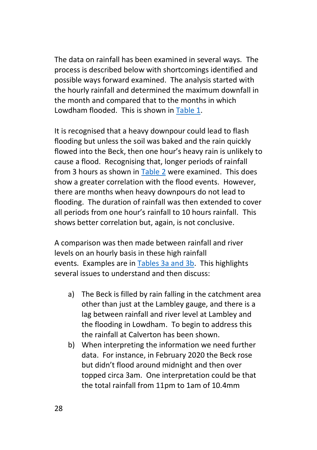The data on rainfall has been examined in several ways. The process is described below with shortcomings identified and possible ways forward examined. The analysis started with the hourly rainfall and determined the maximum downfall in the month and compared that to the months in which Lowdham flooded. This is shown in [Table 1.](#page-30-0)

It is recognised that a heavy downpour could lead to flash flooding but unless the soil was baked and the rain quickly flowed into the Beck, then one hour's heavy rain is unlikely to cause a flood. Recognising that, longer periods of rainfall from 3 hours as shown in [Table 2](#page-31-0) were examined. This does show a greater correlation with the flood events. However, there are months when heavy downpours do not lead to flooding. The duration of rainfall was then extended to cover all periods from one hour's rainfall to 10 hours rainfall. This shows better correlation but, again, is not conclusive.

A comparison was then made between rainfall and river levels on an hourly basis in these high rainfall events. Examples are in [Tables 3a and 3b.](#page-32-0) This highlights several issues to understand and then discuss:

- a) The Beck is filled by rain falling in the catchment area other than just at the Lambley gauge, and there is a lag between rainfall and river level at Lambley and the flooding in Lowdham. To begin to address this the rainfall at Calverton has been shown.
- b) When interpreting the information we need further data. For instance, in February 2020 the Beck rose but didn't flood around midnight and then over topped circa 3am. One interpretation could be that the total rainfall from 11pm to 1am of 10.4mm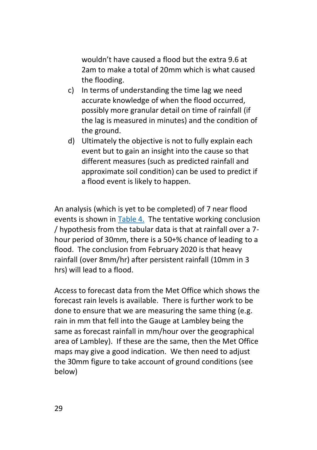wouldn't have caused a flood but the extra 9.6 at 2am to make a total of 20mm which is what caused the flooding.

- c) In terms of understanding the time lag we need accurate knowledge of when the flood occurred, possibly more granular detail on time of rainfall (if the lag is measured in minutes) and the condition of the ground.
- d) Ultimately the objective is not to fully explain each event but to gain an insight into the cause so that different measures (such as predicted rainfall and approximate soil condition) can be used to predict if a flood event is likely to happen.

An analysis (which is yet to be completed) of 7 near flood events is shown in [Table 4.](#page-33-0) The tentative working conclusion / hypothesis from the tabular data is that at rainfall over a 7 hour period of 30mm, there is a 50+% chance of leading to a flood. The conclusion from February 2020 is that heavy rainfall (over 8mm/hr) after persistent rainfall (10mm in 3 hrs) will lead to a flood.

Access to forecast data from the Met Office which shows the forecast rain levels is available. There is further work to be done to ensure that we are measuring the same thing (e.g. rain in mm that fell into the Gauge at Lambley being the same as forecast rainfall in mm/hour over the geographical area of Lambley). If these are the same, then the Met Office maps may give a good indication. We then need to adjust the 30mm figure to take account of ground conditions (see below)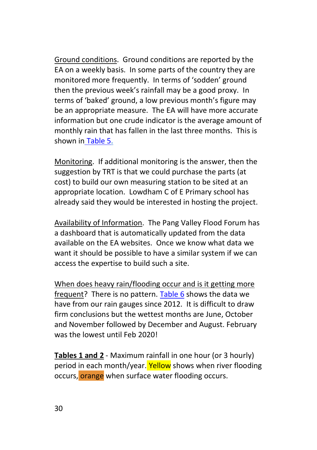Ground conditions. Ground conditions are reported by the EA on a weekly basis. In some parts of the country they are monitored more frequently. In terms of 'sodden' ground then the previous week's rainfall may be a good proxy. In terms of 'baked' ground, a low previous month's figure may be an appropriate measure. The EA will have more accurate information but one crude indicator is the average amount of monthly rain that has fallen in the last three months. This is shown in [Table 5.](#page-35-0)

Monitoring. If additional monitoring is the answer, then the suggestion by TRT is that we could purchase the parts (at cost) to build our own measuring station to be sited at an appropriate location. Lowdham C of E Primary school has already said they would be interested in hosting the project.

Availability of Information. The Pang Valley Flood Forum has a dashboard that is automatically updated from the data available on the EA websites. Once we know what data we want it should be possible to have a similar system if we can access the expertise to build such a site.

When does heavy rain/flooding occur and is it getting more frequent? There is no pattern. [Table 6](#page-36-0) shows the data we have from our rain gauges since 2012. It is difficult to draw firm conclusions but the wettest months are June, October and November followed by December and August. February was the lowest until Feb 2020!

**Tables 1 and 2** - Maximum rainfall in one hour (or 3 hourly) period in each month/year. Yellow shows when river flooding occurs, orange when surface water flooding occurs.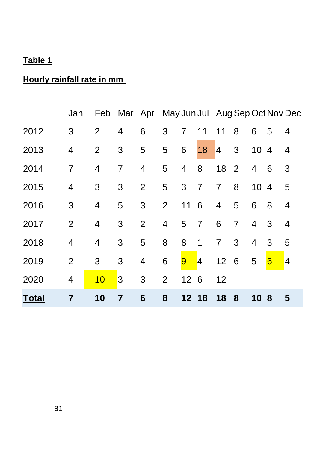### <span id="page-30-0"></span>**Hourly rainfall rate in mm**

|              | Jan            |                | Feb Mar Apr May Jun Jul Aug Sep Oct Nov Dec |                |                |                |                  |                |                |      |                  |                |
|--------------|----------------|----------------|---------------------------------------------|----------------|----------------|----------------|------------------|----------------|----------------|------|------------------|----------------|
| 2012         | 3              | 2              | 4                                           | 6              | 3              | $\overline{7}$ | 11               | 11             | 8              | 6    | 5                | $\overline{4}$ |
| 2013         | 4              | $\overline{2}$ | 3                                           | 5              | 5              | 6              | 18               | 4              | $\mathbf{3}$   | 10 4 |                  | $\overline{4}$ |
| 2014         | 7              | 4              | 7                                           | 4              | 5              | 4              | 8                | 18 2           |                | 4    | - 6              | 3              |
| 2015         | 4              | 3              | 3                                           | $\overline{2}$ | 5              | $\mathbf{3}$   | $\overline{7}$   | $\overline{7}$ | 8              | 104  |                  | 5              |
| 2016         | 3              | 4              | 5                                           | 3              | $\overline{2}$ | 11 6           |                  | 4              | 5              | 6    | 8                | $\overline{4}$ |
| 2017         | $\overline{2}$ | $\overline{4}$ | 3                                           | $\overline{2}$ | $\overline{4}$ | 5              | $\overline{7}$   | 6              | $\overline{7}$ | 4    | 3                | $\overline{4}$ |
| 2018         | 4              | 4              | 3                                           | 5              | 8              | 8              | 1                | $\overline{7}$ | 3              | 4    | 3                | 5              |
| 2019         | $\overline{2}$ | 3              | 3                                           | 4              | 6              | $9\phantom{.}$ | $\blacksquare$ 4 | 12 6           |                | 5    | $6 \overline{6}$ | $\blacksquare$ |
| 2020         | 4              | 10             | 3                                           | 3              | $\overline{2}$ | 12 6           |                  | 12             |                |      |                  |                |
| <b>Total</b> | 7              | 10             | $\overline{7}$                              | 6              | 8              | 12 18          |                  | 18             | 8              | 10 8 |                  | 5              |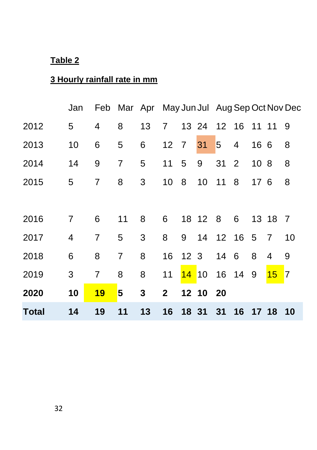### <span id="page-31-0"></span>**3 Hourly rainfall rate in mm**

|              | Jan            |                | Feb Mar Apr May Jun Jul Aug Sep Oct Nov Dec |    |                 |   |                   |                |                |                 |                |     |
|--------------|----------------|----------------|---------------------------------------------|----|-----------------|---|-------------------|----------------|----------------|-----------------|----------------|-----|
| 2012         | 5              | 4              | 8                                           | 13 | 7 <sup>7</sup>  |   | 13 24 12 16 11 11 |                |                |                 |                | - 9 |
| 2013         | 10             | 6              | 5                                           | 6  | 12 7            |   | 31                | $\overline{5}$ | $\overline{4}$ | 16 6            |                | 8   |
| 2014         | 14             | 9              | $\overline{7}$                              | 5  | 11              | 5 | 9                 | 31             | 2              | 10 <sub>8</sub> |                | 8   |
| 2015         | 5              | $\overline{7}$ | 8                                           | 3  | 10 <sup>1</sup> | 8 | 10 <sup>°</sup>   | $11 \quad 8$   |                | 176             |                | 8   |
|              |                |                |                                             |    |                 |   |                   |                |                |                 |                |     |
| 2016         | $\overline{7}$ | 6              | 11                                          | 8  | 6               |   | 18 12 8 6         |                |                |                 | 13 18 7        |     |
| 2017         | 4              | $\overline{7}$ | 5                                           | 3  | 8               | 9 |                   |                | 14 12 16 5     |                 | $\overline{7}$ | 10  |
| 2018         | 6              | 8              | $\overline{7}$                              | 8  | 16              |   | 12 <sub>3</sub>   | 14 6           |                | 8               | 4              | 9   |
| 2019         | 3              | $\overline{7}$ | 8                                           | 8  | 11              |   | 14 10 16 14 9     |                |                |                 | $15$ 7         |     |
| 2020         | 10             | 19             | 5                                           | 3  | 2 <sup>7</sup>  |   | 12 10 20          |                |                |                 |                |     |
| <b>Total</b> | 14             | 19             | 11                                          | 13 | 16              |   | 18 31 31          |                | 16 17 18       |                 |                | 10  |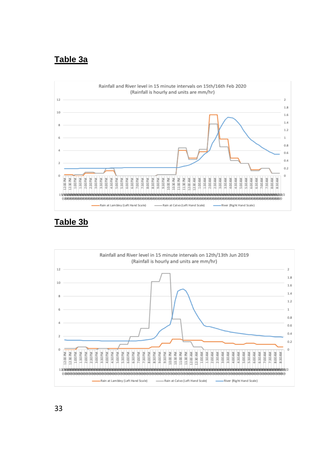### <span id="page-32-0"></span>**Table 3a**



### **Table 3b**

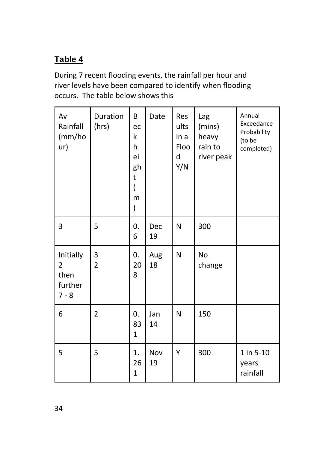<span id="page-33-0"></span>During 7 recent flooding events, the rainfall per hour and river levels have been compared to identify when flooding occurs. The table below shows this

| Av<br>Rainfall<br>(mm/ho<br>ur)              | Duration<br>(hrs)   | B<br>ec<br>k<br>h<br>ei<br>gh<br>t<br>$\overline{(}$<br>m<br>$\mathcal{E}$ | Date      | Res<br>ults<br>in a<br>Floo<br>d<br>Y/N | Lag<br>(mins)<br>heavy<br>rain to<br>river peak | Annual<br>Exceedance<br>Probability<br>(to be<br>completed) |
|----------------------------------------------|---------------------|----------------------------------------------------------------------------|-----------|-----------------------------------------|-------------------------------------------------|-------------------------------------------------------------|
| 3                                            | 5                   | 0.<br>6                                                                    | Dec<br>19 | N                                       | 300                                             |                                                             |
| Initially<br>2<br>then<br>further<br>$7 - 8$ | 3<br>$\overline{2}$ | 0.<br>20<br>8                                                              | Aug<br>18 | N                                       | <b>No</b><br>change                             |                                                             |
| 6                                            | $\overline{2}$      | 0.<br>83<br>$\mathbf{1}$                                                   | Jan<br>14 | N                                       | 150                                             |                                                             |
| 5                                            | 5                   | 1.<br>26<br>$\mathbf{1}$                                                   | Nov<br>19 | Υ                                       | 300                                             | 1 in 5-10<br>years<br>rainfall                              |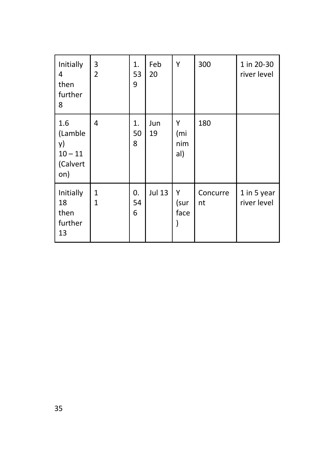| Initially<br>4<br>then<br>further<br>8               | 3<br>$\overline{2}$          | 1.<br>53<br>9 | Feb<br>20     | Y                      | 300            | 1 in 20-30<br>river level  |
|------------------------------------------------------|------------------------------|---------------|---------------|------------------------|----------------|----------------------------|
| 1.6<br>(Lamble<br>y)<br>$10 - 11$<br>(Calvert<br>on) | 4                            | 1.<br>50<br>8 | Jun<br>19     | Υ<br>(mi<br>nim<br>al) | 180            |                            |
| Initially<br>18<br>then<br>further<br>13             | $\mathbf{1}$<br>$\mathbf{1}$ | 0.<br>54<br>6 | <b>Jul 13</b> | Υ<br>(sur<br>face      | Concurre<br>nt | 1 in 5 year<br>river level |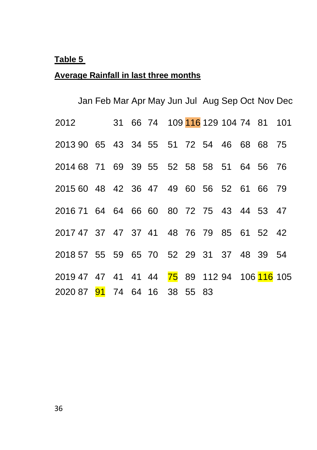### <span id="page-35-0"></span>**Average Rainfall in last three months**

|                                              |  |  | Jan Feb Mar Apr May Jun Jul Aug Sep Oct Nov Dec |  |  |  |  |
|----------------------------------------------|--|--|-------------------------------------------------|--|--|--|--|
| 2012                                         |  |  | 31 66 74 109 <mark>116</mark> 129 104 74 81 101 |  |  |  |  |
| 2013 90 65 43 34 55 51 72 54 46 68 68 75     |  |  |                                                 |  |  |  |  |
| 2014 68 71 69 39 55 52 58 58 51 64 56 76     |  |  |                                                 |  |  |  |  |
| 2015 60 48 42 36 47 49 60 56 52 61 66 79     |  |  |                                                 |  |  |  |  |
| 2016 71 64 64 66 60 80 72 75 43 44 53 47     |  |  |                                                 |  |  |  |  |
| 2017 47 37 47 37 41 48 76 79 85 61 52 42     |  |  |                                                 |  |  |  |  |
| 2018 57 55 59 65 70 52 29 31 37 48 39 54     |  |  |                                                 |  |  |  |  |
| 2019 47 47 41 41 44 75 89 112 94 106 116 105 |  |  |                                                 |  |  |  |  |
| 2020 87 91 74 64 16 38 55 83                 |  |  |                                                 |  |  |  |  |